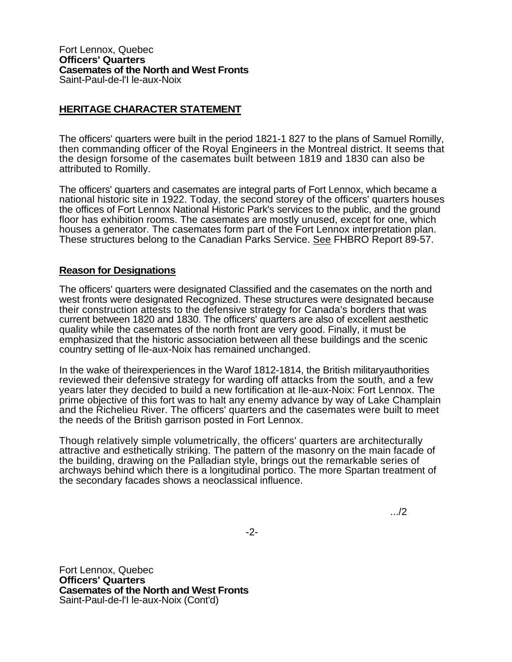Fort Lennox, Quebec **Officers' Quarters Casemates of the North and West Fronts**  Saint-Paul-de-l'I le-aux-Noix

## **HERITAGE CHARACTER STATEMENT**

The officers' quarters were built in the period 1821-1 827 to the plans of Samuel Romilly, then commanding officer of the Royal Engineers in the Montreal district. It seems that the design forsome of the casemates built between 1819 and 1830 can also be attributed to Romilly.

The officers' quarters and casemates are integral parts of Fort Lennox, which became a national historic site in 1922. Today, the second storey of the officers' quarters houses the offices of Fort Lennox National Historic Park's services to the public, and the ground floor has exhibition rooms. The casemates are mostly unused, except for one, which houses a generator. The casemates form part of the Fort Lennox interpretation plan. These structures belong to the Canadian Parks Service. See FHBRO Report 89-57.

## **Reason for Designations**

The officers' quarters were designated Classified and the casemates on the north and west fronts were designated Recognized. These structures were designated because their construction attests to the defensive strategy for Canada's borders that was current between 1820 and 1830. The officers' quarters are also of excellent aesthetic quality while the casemates of the north front are very good. Finally, it must be emphasized that the historic association between all these buildings and the scenic country setting of Ile-aux-Noix has remained unchanged.

In the wake of theirexperiences in the Warof 1812-1814, the British militaryauthorities reviewed their defensive strategy for warding off attacks from the south, and a few years later they decided to build a new fortification at Ile-aux-Noix: Fort Lennox. The prime objective of this fort was to halt any enemy advance by way of Lake Champlain and the Richelieu River. The officers' quarters and the casemates were built to meet the needs of the British garrison posted in Fort Lennox.

Though relatively simple volumetrically, the officers' quarters are architecturally attractive and esthetically striking. The pattern of the masonry on the main facade of the building, drawing on the Palladian style, brings out the remarkable series of archways behind which there is a longitudinal portico. The more Spartan treatment of the secondary facades shows a neoclassical influence.

.../2

-2-

Fort Lennox, Quebec **Officers' Quarters Casemates of the North and West Fronts**  Saint-Paul-de-l'I le-aux-Noix (Cont'd)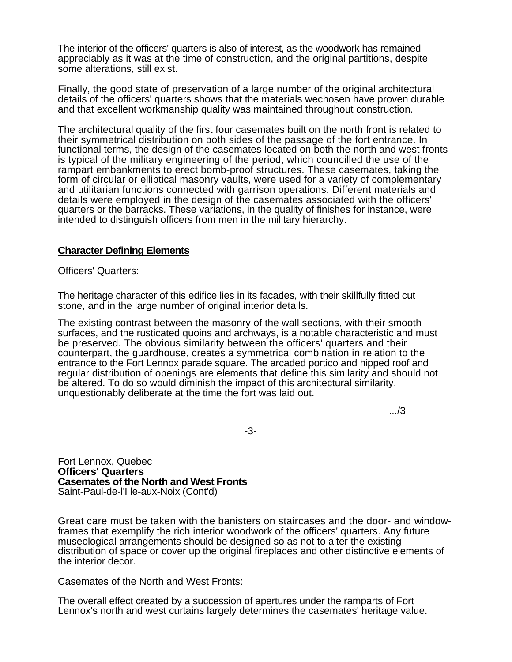The interior of the officers' quarters is also of interest, as the woodwork has remained appreciably as it was at the time of construction, and the original partitions, despite some alterations, still exist.

Finally, the good state of preservation of a large number of the original architectural details of the officers' quarters shows that the materials wechosen have proven durable and that excellent workmanship quality was maintained throughout construction.

The architectural quality of the first four casemates built on the north front is related to their symmetrical distribution on both sides of the passage of the fort entrance. In functional terms, the design of the casemates located on both the north and west fronts is typical of the military engineering of the period, which councilled the use of the rampart embankments to erect bomb-proof structures. These casemates, taking the form of circular or elliptical masonry vaults, were used for a variety of complementary and utilitarian functions connected with garrison operations. Different materials and details were employed in the design of the casemates associated with the officers' quarters or the barracks. These variations, in the quality of finishes for instance, were intended to distinguish officers from men in the military hierarchy.

## **Character Defining Elements**

Officers' Quarters:

The heritage character of this edifice lies in its facades, with their skillfully fitted cut stone, and in the large number of original interior details.

The existing contrast between the masonry of the wall sections, with their smooth surfaces, and the rusticated quoins and archways, is a notable characteristic and must be preserved. The obvious similarity between the officers' quarters and their counterpart, the guardhouse, creates a symmetrical combination in relation to the entrance to the Fort Lennox parade square. The arcaded portico and hipped roof and regular distribution of openings are elements that define this similarity and should not be altered. To do so would diminish the impact of this architectural similarity, unquestionably deliberate at the time the fort was laid out.

.../3

-3-

Fort Lennox, Quebec **Officers' Quarters Casemates of the North and West Fronts**  Saint-Paul-de-l'I le-aux-Noix (Cont'd)

Great care must be taken with the banisters on staircases and the door- and windowframes that exemplify the rich interior woodwork of the officers' quarters. Any future museological arrangements should be designed so as not to alter the existing distribution of space or cover up the original fireplaces and other distinctive elements of the interior decor.

Casemates of the North and West Fronts:

The overall effect created by a succession of apertures under the ramparts of Fort Lennox's north and west curtains largely determines the casemates' heritage value.